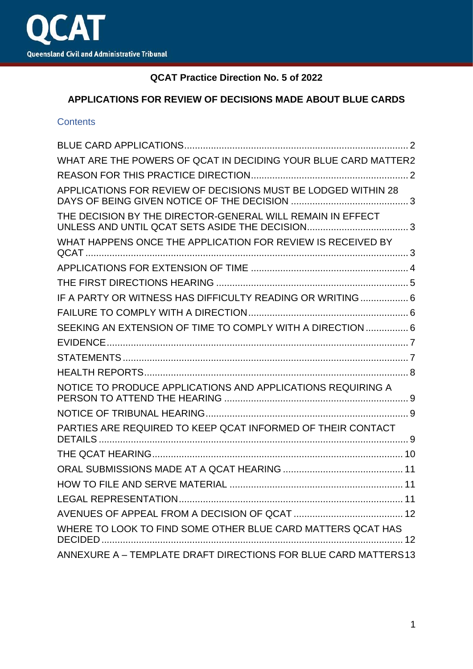

# **QCAT Practice Direction No. 5 of 2022**

# **APPLICATIONS FOR REVIEW OF DECISIONS MADE ABOUT BLUE CARDS**

#### **Contents**

| WHAT ARE THE POWERS OF QCAT IN DECIDING YOUR BLUE CARD MATTER2  |  |
|-----------------------------------------------------------------|--|
|                                                                 |  |
| APPLICATIONS FOR REVIEW OF DECISIONS MUST BE LODGED WITHIN 28   |  |
| THE DECISION BY THE DIRECTOR-GENERAL WILL REMAIN IN EFFECT      |  |
| WHAT HAPPENS ONCE THE APPLICATION FOR REVIEW IS RECEIVED BY     |  |
|                                                                 |  |
|                                                                 |  |
| IF A PARTY OR WITNESS HAS DIFFICULTY READING OR WRITING 6       |  |
|                                                                 |  |
| SEEKING AN EXTENSION OF TIME TO COMPLY WITH A DIRECTION  6      |  |
|                                                                 |  |
|                                                                 |  |
|                                                                 |  |
| NOTICE TO PRODUCE APPLICATIONS AND APPLICATIONS REQUIRING A     |  |
|                                                                 |  |
| PARTIES ARE REQUIRED TO KEEP QCAT INFORMED OF THEIR CONTACT     |  |
|                                                                 |  |
|                                                                 |  |
|                                                                 |  |
| <b>LEGAL REPRESENTATION</b>                                     |  |
|                                                                 |  |
| WHERE TO LOOK TO FIND SOME OTHER BLUE CARD MATTERS QCAT HAS     |  |
| ANNEXURE A - TEMPLATE DRAFT DIRECTIONS FOR BLUE CARD MATTERS 13 |  |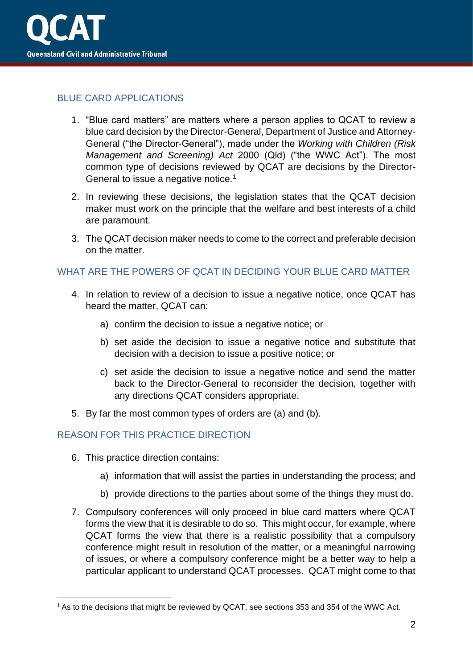

# <span id="page-1-0"></span>BLUE CARD APPLICATIONS

- 1. "Blue card matters" are matters where a person applies to QCAT to review a blue card decision by the Director-General, Department of Justice and Attorney-General ("the Director-General"), made under the *Working with Children (Risk Management and Screening) Act* 2000 (Qld) ("the WWC Act"). The most common type of decisions reviewed by QCAT are decisions by the Director-General to issue a negative notice.<sup>1</sup>
- 2. In reviewing these decisions, the legislation states that the QCAT decision maker must work on the principle that the welfare and best interests of a child are paramount.
- 3. The QCAT decision maker needs to come to the correct and preferable decision on the matter.

## <span id="page-1-1"></span>WHAT ARE THE POWERS OF QCAT IN DECIDING YOUR BLUE CARD MATTER

- 4. In relation to review of a decision to issue a negative notice, once QCAT has heard the matter, QCAT can:
	- a) confirm the decision to issue a negative notice; or
	- b) set aside the decision to issue a negative notice and substitute that decision with a decision to issue a positive notice; or
	- c) set aside the decision to issue a negative notice and send the matter back to the Director-General to reconsider the decision, together with any directions QCAT considers appropriate.
- 5. By far the most common types of orders are (a) and (b).

#### <span id="page-1-2"></span>REASON FOR THIS PRACTICE DIRECTION

- 6. This practice direction contains:
	- a) information that will assist the parties in understanding the process; and
	- b) provide directions to the parties about some of the things they must do.
- 7. Compulsory conferences will only proceed in blue card matters where QCAT forms the view that it is desirable to do so. This might occur, for example, where QCAT forms the view that there is a realistic possibility that a compulsory conference might result in resolution of the matter, or a meaningful narrowing of issues, or where a compulsory conference might be a better way to help a particular applicant to understand QCAT processes. QCAT might come to that

<sup>&</sup>lt;sup>1</sup> As to the decisions that might be reviewed by QCAT, see sections 353 and 354 of the WWC Act.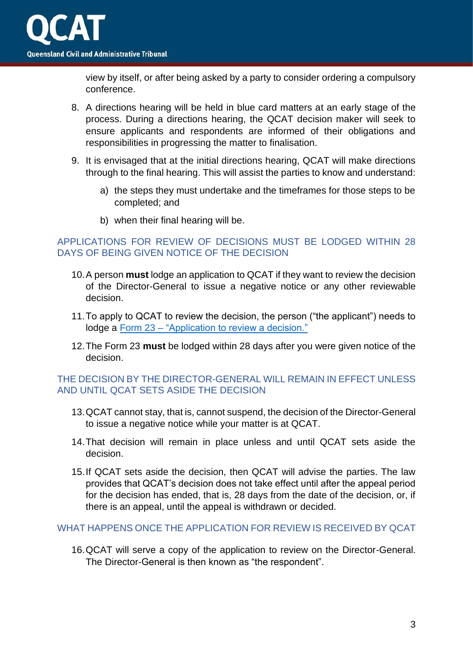

view by itself, or after being asked by a party to consider ordering a compulsory conference.

- 8. A directions hearing will be held in blue card matters at an early stage of the process. During a directions hearing, the QCAT decision maker will seek to ensure applicants and respondents are informed of their obligations and responsibilities in progressing the matter to finalisation.
- 9. It is envisaged that at the initial directions hearing, QCAT will make directions through to the final hearing. This will assist the parties to know and understand:
	- a) the steps they must undertake and the timeframes for those steps to be completed; and
	- b) when their final hearing will be.

## <span id="page-2-0"></span>APPLICATIONS FOR REVIEW OF DECISIONS MUST BE LODGED WITHIN 28 DAYS OF BEING GIVEN NOTICE OF THE DECISION

- 10.A person **must** lodge an application to QCAT if they want to review the decision of the Director-General to issue a negative notice or any other reviewable decision.
- 11.To apply to QCAT to review the decision, the person ("the applicant") needs to lodge a Form 23 – ["Application to review a decision."](https://www.qcat.qld.gov.au/__data/assets/pdf_file/0008/101006/form-23-app-review-decision.pdf)
- 12.The Form 23 **must** be lodged within 28 days after you were given notice of the decision.

#### <span id="page-2-1"></span>THE DECISION BY THE DIRECTOR-GENERAL WILL REMAIN IN EFFECT UNLESS AND UNTIL QCAT SETS ASIDE THE DECISION

- 13.QCAT cannot stay, that is, cannot suspend, the decision of the Director-General to issue a negative notice while your matter is at QCAT.
- 14.That decision will remain in place unless and until QCAT sets aside the decision.
- 15.If QCAT sets aside the decision, then QCAT will advise the parties. The law provides that QCAT's decision does not take effect until after the appeal period for the decision has ended, that is, 28 days from the date of the decision, or, if there is an appeal, until the appeal is withdrawn or decided.

#### <span id="page-2-2"></span>WHAT HAPPENS ONCE THE APPLICATION FOR REVIEW IS RECEIVED BY QCAT

16.QCAT will serve a copy of the application to review on the Director-General. The Director-General is then known as "the respondent".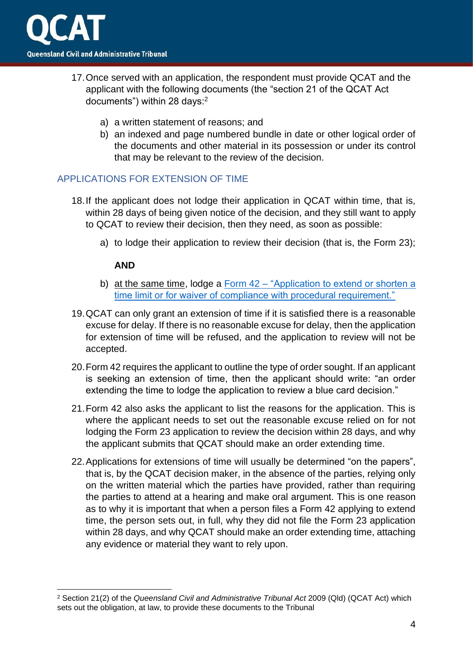

- 17.Once served with an application, the respondent must provide QCAT and the applicant with the following documents (the "section 21 of the QCAT Act documents") within 28 days:<sup>2</sup>
	- a) a written statement of reasons; and
	- b) an indexed and page numbered bundle in date or other logical order of the documents and other material in its possession or under its control that may be relevant to the review of the decision.

## <span id="page-3-0"></span>APPLICATIONS FOR EXTENSION OF TIME

- 18.If the applicant does not lodge their application in QCAT within time, that is, within 28 days of being given notice of the decision, and they still want to apply to QCAT to review their decision, then they need, as soon as possible:
	- a) to lodge their application to review their decision (that is, the Form 23);

#### **AND**

- b) at the same time, lodge a Form 42 ["Application to extend or shorten a](https://www.qcat.qld.gov.au/__data/assets/pdf_file/0019/101089/form-42-app-extend-shorten-time-limit.pdf)  [time limit or for waiver of compliance with procedural requirement."](https://www.qcat.qld.gov.au/__data/assets/pdf_file/0019/101089/form-42-app-extend-shorten-time-limit.pdf)
- 19.QCAT can only grant an extension of time if it is satisfied there is a reasonable excuse for delay. If there is no reasonable excuse for delay, then the application for extension of time will be refused, and the application to review will not be accepted.
- 20.Form 42 requires the applicant to outline the type of order sought. If an applicant is seeking an extension of time, then the applicant should write: "an order extending the time to lodge the application to review a blue card decision."
- 21.Form 42 also asks the applicant to list the reasons for the application. This is where the applicant needs to set out the reasonable excuse relied on for not lodging the Form 23 application to review the decision within 28 days, and why the applicant submits that QCAT should make an order extending time.
- 22.Applications for extensions of time will usually be determined "on the papers", that is, by the QCAT decision maker, in the absence of the parties, relying only on the written material which the parties have provided, rather than requiring the parties to attend at a hearing and make oral argument. This is one reason as to why it is important that when a person files a Form 42 applying to extend time, the person sets out, in full, why they did not file the Form 23 application within 28 days, and why QCAT should make an order extending time, attaching any evidence or material they want to rely upon.

<sup>2</sup> Section 21(2) of the *Queensland Civil and Administrative Tribunal Act* 2009 (Qld) (QCAT Act) which sets out the obligation, at law, to provide these documents to the Tribunal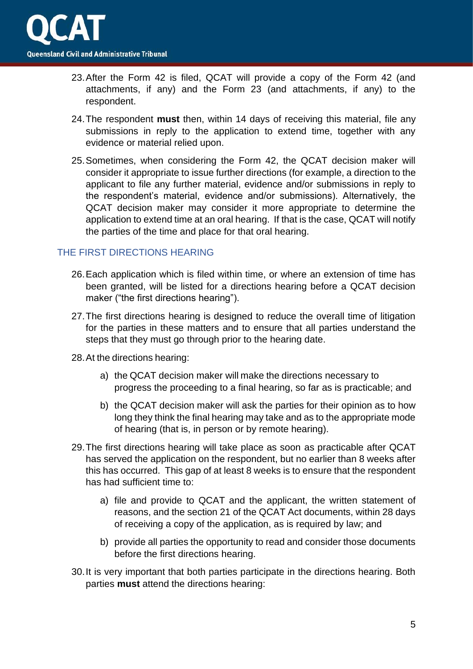

- 23.After the Form 42 is filed, QCAT will provide a copy of the Form 42 (and attachments, if any) and the Form 23 (and attachments, if any) to the respondent.
- 24.The respondent **must** then, within 14 days of receiving this material, file any submissions in reply to the application to extend time, together with any evidence or material relied upon.
- 25.Sometimes, when considering the Form 42, the QCAT decision maker will consider it appropriate to issue further directions (for example, a direction to the applicant to file any further material, evidence and/or submissions in reply to the respondent's material, evidence and/or submissions). Alternatively, the QCAT decision maker may consider it more appropriate to determine the application to extend time at an oral hearing. If that is the case, QCAT will notify the parties of the time and place for that oral hearing.

#### <span id="page-4-0"></span>THE FIRST DIRECTIONS HEARING

- 26.Each application which is filed within time, or where an extension of time has been granted, will be listed for a directions hearing before a QCAT decision maker ("the first directions hearing").
- 27.The first directions hearing is designed to reduce the overall time of litigation for the parties in these matters and to ensure that all parties understand the steps that they must go through prior to the hearing date.
- 28.At the directions hearing:
	- a) the QCAT decision maker will make the directions necessary to progress the proceeding to a final hearing, so far as is practicable; and
	- b) the QCAT decision maker will ask the parties for their opinion as to how long they think the final hearing may take and as to the appropriate mode of hearing (that is, in person or by remote hearing).
- 29.The first directions hearing will take place as soon as practicable after QCAT has served the application on the respondent, but no earlier than 8 weeks after this has occurred. This gap of at least 8 weeks is to ensure that the respondent has had sufficient time to:
	- a) file and provide to QCAT and the applicant, the written statement of reasons, and the section 21 of the QCAT Act documents, within 28 days of receiving a copy of the application, as is required by law; and
	- b) provide all parties the opportunity to read and consider those documents before the first directions hearing.
- 30.It is very important that both parties participate in the directions hearing. Both parties **must** attend the directions hearing: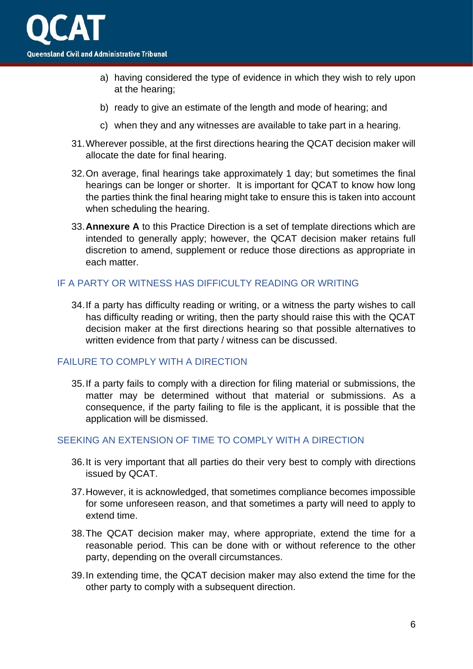

- a) having considered the type of evidence in which they wish to rely upon at the hearing;
- b) ready to give an estimate of the length and mode of hearing; and
- c) when they and any witnesses are available to take part in a hearing.
- 31.Wherever possible, at the first directions hearing the QCAT decision maker will allocate the date for final hearing.
- 32.On average, final hearings take approximately 1 day; but sometimes the final hearings can be longer or shorter. It is important for QCAT to know how long the parties think the final hearing might take to ensure this is taken into account when scheduling the hearing.
- 33.**Annexure A** to this Practice Direction is a set of template directions which are intended to generally apply; however, the QCAT decision maker retains full discretion to amend, supplement or reduce those directions as appropriate in each matter.

### <span id="page-5-0"></span>IF A PARTY OR WITNESS HAS DIFFICULTY READING OR WRITING

34.If a party has difficulty reading or writing, or a witness the party wishes to call has difficulty reading or writing, then the party should raise this with the QCAT decision maker at the first directions hearing so that possible alternatives to written evidence from that party / witness can be discussed.

#### <span id="page-5-1"></span>FAILURE TO COMPLY WITH A DIRECTION

35.If a party fails to comply with a direction for filing material or submissions, the matter may be determined without that material or submissions. As a consequence, if the party failing to file is the applicant, it is possible that the application will be dismissed.

## <span id="page-5-2"></span>SEEKING AN EXTENSION OF TIME TO COMPLY WITH A DIRECTION

- 36.It is very important that all parties do their very best to comply with directions issued by QCAT.
- 37.However, it is acknowledged, that sometimes compliance becomes impossible for some unforeseen reason, and that sometimes a party will need to apply to extend time.
- 38.The QCAT decision maker may, where appropriate, extend the time for a reasonable period. This can be done with or without reference to the other party, depending on the overall circumstances.
- 39.In extending time, the QCAT decision maker may also extend the time for the other party to comply with a subsequent direction.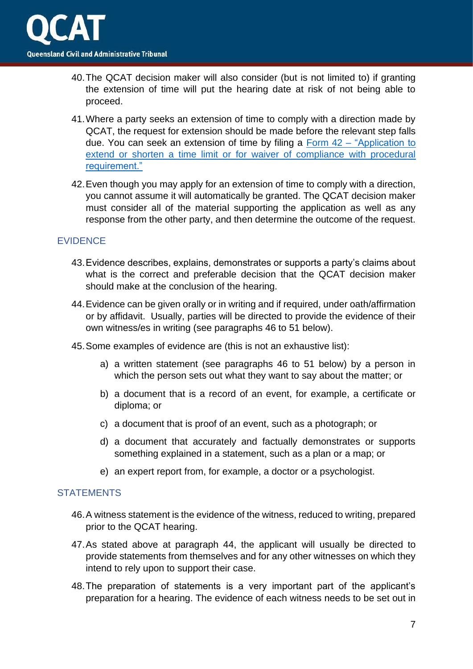

- 40.The QCAT decision maker will also consider (but is not limited to) if granting the extension of time will put the hearing date at risk of not being able to proceed.
- 41.Where a party seeks an extension of time to comply with a direction made by QCAT, the request for extension should be made before the relevant step falls due. You can seek an extension of time by filing a Form 42 – ["Application to](https://www.qcat.qld.gov.au/__data/assets/pdf_file/0019/101089/form-42-app-extend-shorten-time-limit.pdf)  [extend or shorten a time limit or for waiver of compliance with procedural](https://www.qcat.qld.gov.au/__data/assets/pdf_file/0019/101089/form-42-app-extend-shorten-time-limit.pdf)  [requirement."](https://www.qcat.qld.gov.au/__data/assets/pdf_file/0019/101089/form-42-app-extend-shorten-time-limit.pdf)
- 42.Even though you may apply for an extension of time to comply with a direction, you cannot assume it will automatically be granted. The QCAT decision maker must consider all of the material supporting the application as well as any response from the other party, and then determine the outcome of the request.

#### <span id="page-6-0"></span>**EVIDENCE**

- 43.Evidence describes, explains, demonstrates or supports a party's claims about what is the correct and preferable decision that the QCAT decision maker should make at the conclusion of the hearing.
- 44.Evidence can be given orally or in writing and if required, under oath/affirmation or by affidavit. Usually, parties will be directed to provide the evidence of their own witness/es in writing (see paragraphs 46 to 51 below).
- 45.Some examples of evidence are (this is not an exhaustive list):
	- a) a written statement (see paragraphs 46 to 51 below) by a person in which the person sets out what they want to say about the matter; or
	- b) a document that is a record of an event, for example, a certificate or diploma; or
	- c) a document that is proof of an event, such as a photograph; or
	- d) a document that accurately and factually demonstrates or supports something explained in a statement, such as a plan or a map; or
	- e) an expert report from, for example, a doctor or a psychologist.

#### <span id="page-6-1"></span>**STATEMENTS**

- 46.A witness statement is the evidence of the witness, reduced to writing, prepared prior to the QCAT hearing.
- 47.As stated above at paragraph 44, the applicant will usually be directed to provide statements from themselves and for any other witnesses on which they intend to rely upon to support their case.
- 48.The preparation of statements is a very important part of the applicant's preparation for a hearing. The evidence of each witness needs to be set out in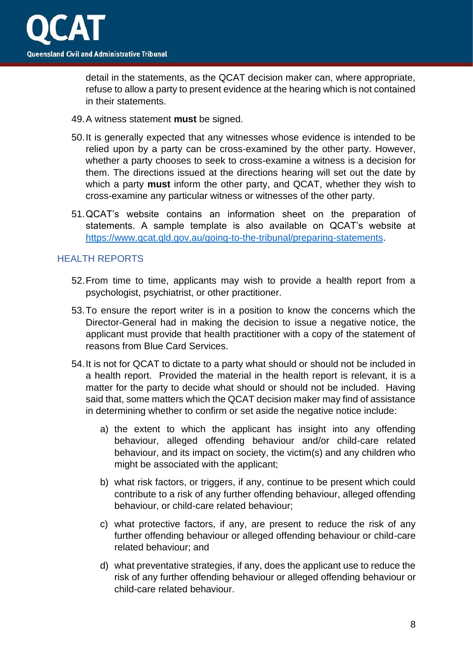

detail in the statements, as the QCAT decision maker can, where appropriate, refuse to allow a party to present evidence at the hearing which is not contained in their statements.

- 49.A witness statement **must** be signed.
- 50.It is generally expected that any witnesses whose evidence is intended to be relied upon by a party can be cross-examined by the other party. However, whether a party chooses to seek to cross-examine a witness is a decision for them. The directions issued at the directions hearing will set out the date by which a party **must** inform the other party, and QCAT, whether they wish to cross-examine any particular witness or witnesses of the other party.
- 51.QCAT's website contains an information sheet on the preparation of statements. A sample template is also available on QCAT's website at [https://www.qcat.qld.gov.au/going-to-the-tribunal/preparing-statements.](https://www.qcat.qld.gov.au/going-to-the-tribunal/preparing-statements)

## <span id="page-7-0"></span>HEALTH REPORTS

- 52.From time to time, applicants may wish to provide a health report from a psychologist, psychiatrist, or other practitioner.
- 53.To ensure the report writer is in a position to know the concerns which the Director-General had in making the decision to issue a negative notice, the applicant must provide that health practitioner with a copy of the statement of reasons from Blue Card Services.
- 54.It is not for QCAT to dictate to a party what should or should not be included in a health report. Provided the material in the health report is relevant, it is a matter for the party to decide what should or should not be included. Having said that, some matters which the QCAT decision maker may find of assistance in determining whether to confirm or set aside the negative notice include:
	- a) the extent to which the applicant has insight into any offending behaviour, alleged offending behaviour and/or child-care related behaviour, and its impact on society, the victim(s) and any children who might be associated with the applicant;
	- b) what risk factors, or triggers, if any, continue to be present which could contribute to a risk of any further offending behaviour, alleged offending behaviour, or child-care related behaviour;
	- c) what protective factors, if any, are present to reduce the risk of any further offending behaviour or alleged offending behaviour or child-care related behaviour; and
	- d) what preventative strategies, if any, does the applicant use to reduce the risk of any further offending behaviour or alleged offending behaviour or child-care related behaviour.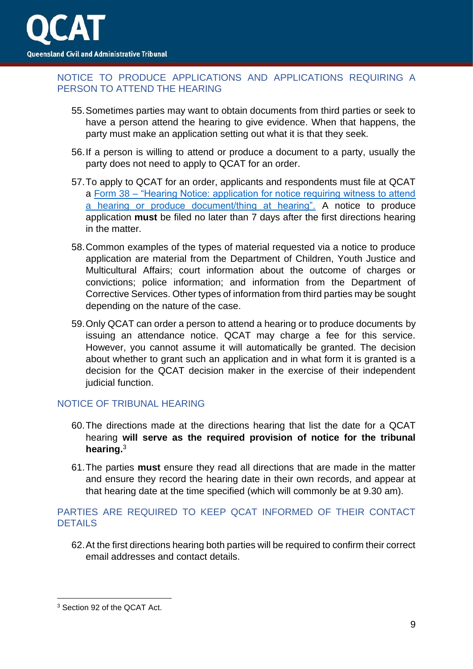## <span id="page-8-0"></span>NOTICE TO PRODUCE APPLICATIONS AND APPLICATIONS REQUIRING A PERSON TO ATTEND THE HEARING

- 55.Sometimes parties may want to obtain documents from third parties or seek to have a person attend the hearing to give evidence. When that happens, the party must make an application setting out what it is that they seek.
- 56.If a person is willing to attend or produce a document to a party, usually the party does not need to apply to QCAT for an order.
- 57.To apply to QCAT for an order, applicants and respondents must file at QCAT a Form 38 – ["Hearing Notice: application for notice requiring witness to attend](https://www.qcat.qld.gov.au/__data/assets/pdf_file/0015/101085/form-38-app-for-witness-to-attend.pdf)  [a hearing or produce document/thing at hearing".](https://www.qcat.qld.gov.au/__data/assets/pdf_file/0015/101085/form-38-app-for-witness-to-attend.pdf) A notice to produce application **must** be filed no later than 7 days after the first directions hearing in the matter.
- 58.Common examples of the types of material requested via a notice to produce application are material from the Department of Children, Youth Justice and Multicultural Affairs; court information about the outcome of charges or convictions; police information; and information from the Department of Corrective Services. Other types of information from third parties may be sought depending on the nature of the case.
- 59.Only QCAT can order a person to attend a hearing or to produce documents by issuing an attendance notice. QCAT may charge a fee for this service. However, you cannot assume it will automatically be granted. The decision about whether to grant such an application and in what form it is granted is a decision for the QCAT decision maker in the exercise of their independent judicial function.

#### <span id="page-8-1"></span>NOTICE OF TRIBUNAL HEARING

- 60.The directions made at the directions hearing that list the date for a QCAT hearing **will serve as the required provision of notice for the tribunal hearing.**<sup>3</sup>
- 61.The parties **must** ensure they read all directions that are made in the matter and ensure they record the hearing date in their own records, and appear at that hearing date at the time specified (which will commonly be at 9.30 am).

# <span id="page-8-2"></span>PARTIES ARE REQUIRED TO KEEP QCAT INFORMED OF THEIR CONTACT DETAILS

62.At the first directions hearing both parties will be required to confirm their correct email addresses and contact details.

<sup>3</sup> Section 92 of the QCAT Act.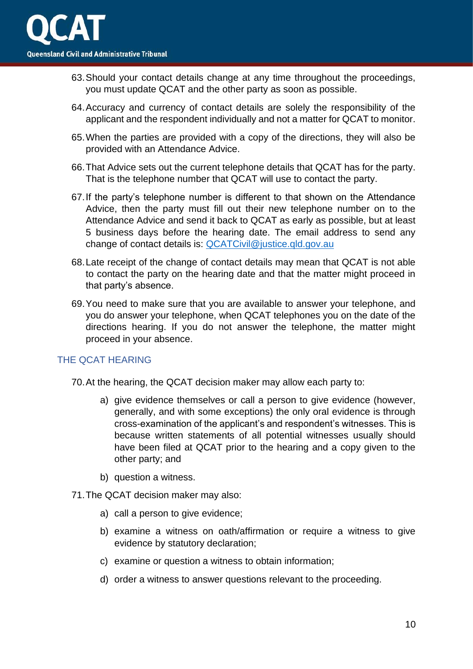- 63.Should your contact details change at any time throughout the proceedings, you must update QCAT and the other party as soon as possible.
- 64.Accuracy and currency of contact details are solely the responsibility of the applicant and the respondent individually and not a matter for QCAT to monitor.
- 65.When the parties are provided with a copy of the directions, they will also be provided with an Attendance Advice.
- 66.That Advice sets out the current telephone details that QCAT has for the party. That is the telephone number that QCAT will use to contact the party.
- 67.If the party's telephone number is different to that shown on the Attendance Advice, then the party must fill out their new telephone number on to the Attendance Advice and send it back to QCAT as early as possible, but at least 5 business days before the hearing date. The email address to send any change of contact details is: [QCATCivil@justice.qld.gov.au](mailto:QCATCivil@justice.qld.gov.au)
- 68.Late receipt of the change of contact details may mean that QCAT is not able to contact the party on the hearing date and that the matter might proceed in that party's absence.
- 69.You need to make sure that you are available to answer your telephone, and you do answer your telephone, when QCAT telephones you on the date of the directions hearing. If you do not answer the telephone, the matter might proceed in your absence.

#### <span id="page-9-0"></span>THE QCAT HEARING

- 70.At the hearing, the QCAT decision maker may allow each party to:
	- a) give evidence themselves or call a person to give evidence (however, generally, and with some exceptions) the only oral evidence is through cross-examination of the applicant's and respondent's witnesses. This is because written statements of all potential witnesses usually should have been filed at QCAT prior to the hearing and a copy given to the other party; and
	- b) question a witness.
- 71.The QCAT decision maker may also:
	- a) call a person to give evidence;
	- b) examine a witness on oath/affirmation or require a witness to give evidence by statutory declaration;
	- c) examine or question a witness to obtain information;
	- d) order a witness to answer questions relevant to the proceeding.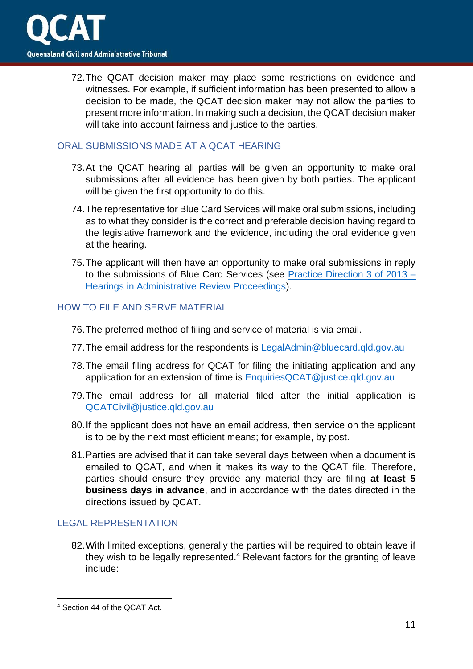72.The QCAT decision maker may place some restrictions on evidence and witnesses. For example, if sufficient information has been presented to allow a decision to be made, the QCAT decision maker may not allow the parties to present more information. In making such a decision, the QCAT decision maker will take into account fairness and justice to the parties.

# <span id="page-10-0"></span>ORAL SUBMISSIONS MADE AT A QCAT HEARING

- 73.At the QCAT hearing all parties will be given an opportunity to make oral submissions after all evidence has been given by both parties. The applicant will be given the first opportunity to do this.
- 74.The representative for Blue Card Services will make oral submissions, including as to what they consider is the correct and preferable decision having regard to the legislative framework and the evidence, including the oral evidence given at the hearing.
- 75.The applicant will then have an opportunity to make oral submissions in reply to the submissions of Blue Card Services (see [Practice Direction 3 of 2013 –](https://www.qcat.qld.gov.au/__data/assets/pdf_file/0011/182099/Practice-Direction-3-of-2013-updated-180219.pdf) [Hearings in Administrative Review Proceedings\)](https://www.qcat.qld.gov.au/__data/assets/pdf_file/0011/182099/Practice-Direction-3-of-2013-updated-180219.pdf).

# <span id="page-10-1"></span>HOW TO FILE AND SERVE MATERIAL

- 76.The preferred method of filing and service of material is via email.
- 77. The email address for the respondents is LegalAdmin@bluecard.gld.gov.au
- 78.The email filing address for QCAT for filing the initiating application and any application for an extension of time is [EnquiriesQCAT@justice.qld.gov.au](mailto:EnquiriesQCAT@justice.qld.gov.au)
- 79.The email address for all material filed after the initial application is [QCATCivil@justice.qld.gov.au](mailto:QCATCivil@justice.qld.gov.au)
- 80.If the applicant does not have an email address, then service on the applicant is to be by the next most efficient means; for example, by post.
- 81.Parties are advised that it can take several days between when a document is emailed to QCAT, and when it makes its way to the QCAT file. Therefore, parties should ensure they provide any material they are filing **at least 5 business days in advance**, and in accordance with the dates directed in the directions issued by QCAT.

# <span id="page-10-2"></span>LEGAL REPRESENTATION

82.With limited exceptions, generally the parties will be required to obtain leave if they wish to be legally represented.<sup>4</sup> Relevant factors for the granting of leave include:

<sup>4</sup> Section 44 of the QCAT Act.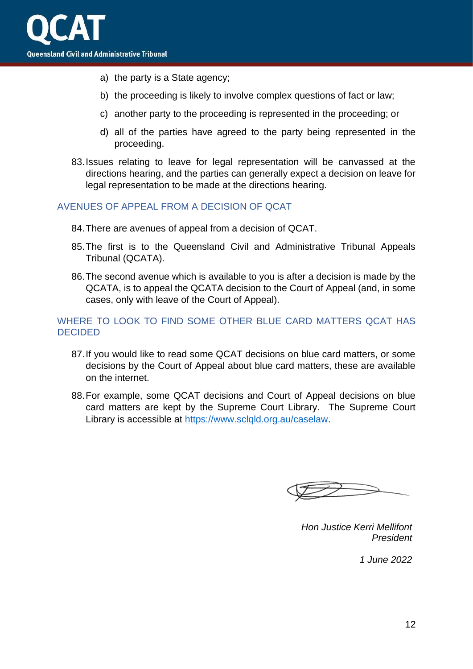

- a) the party is a State agency;
- b) the proceeding is likely to involve complex questions of fact or law;
- c) another party to the proceeding is represented in the proceeding; or
- d) all of the parties have agreed to the party being represented in the proceeding.
- 83.Issues relating to leave for legal representation will be canvassed at the directions hearing, and the parties can generally expect a decision on leave for legal representation to be made at the directions hearing.

#### <span id="page-11-0"></span>AVENUES OF APPEAL FROM A DECISION OF QCAT

- 84.There are avenues of appeal from a decision of QCAT.
- 85.The first is to the Queensland Civil and Administrative Tribunal Appeals Tribunal (QCATA).
- 86.The second avenue which is available to you is after a decision is made by the QCATA, is to appeal the QCATA decision to the Court of Appeal (and, in some cases, only with leave of the Court of Appeal).

### <span id="page-11-1"></span>WHERE TO LOOK TO FIND SOME OTHER BLUE CARD MATTERS QCAT HAS DECIDED

- 87.If you would like to read some QCAT decisions on blue card matters, or some decisions by the Court of Appeal about blue card matters, these are available on the internet.
- 88.For example, some QCAT decisions and Court of Appeal decisions on blue card matters are kept by the Supreme Court Library. The Supreme Court Library is accessible at [https://www.sclqld.org.au/caselaw.](https://www.sclqld.org.au/caselaw)

*Hon Justice Kerri Mellifont President*

*1 June 2022*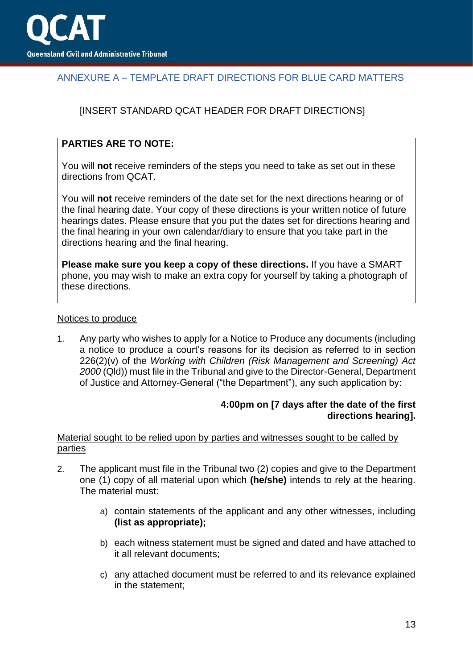

# <span id="page-12-0"></span>ANNEXURE A – TEMPLATE DRAFT DIRECTIONS FOR BLUE CARD MATTERS

# [INSERT STANDARD QCAT HEADER FOR DRAFT DIRECTIONS]

# **PARTIES ARE TO NOTE:**

You will **not** receive reminders of the steps you need to take as set out in these directions from QCAT.

You will **not** receive reminders of the date set for the next directions hearing or of the final hearing date. Your copy of these directions is your written notice of future hearings dates. Please ensure that you put the dates set for directions hearing and the final hearing in your own calendar/diary to ensure that you take part in the directions hearing and the final hearing.

**Please make sure you keep a copy of these directions.** If you have a SMART phone, you may wish to make an extra copy for yourself by taking a photograph of these directions.

#### Notices to produce

1. Any party who wishes to apply for a Notice to Produce any documents (including a notice to produce a court's reasons for its decision as referred to in section 226(2)(v) of the *Working with Children (Risk Management and Screening) Act 2000* (Qld)) must file in the Tribunal and give to the Director-General, Department of Justice and Attorney-General ("the Department"), any such application by:

#### **4:00pm on [7 days after the date of the first directions hearing].**

#### Material sought to be relied upon by parties and witnesses sought to be called by parties

- 2. The applicant must file in the Tribunal two (2) copies and give to the Department one (1) copy of all material upon which **(he/she)** intends to rely at the hearing. The material must:
	- a) contain statements of the applicant and any other witnesses, including **(list as appropriate);**
	- b) each witness statement must be signed and dated and have attached to it all relevant documents;
	- c) any attached document must be referred to and its relevance explained in the statement;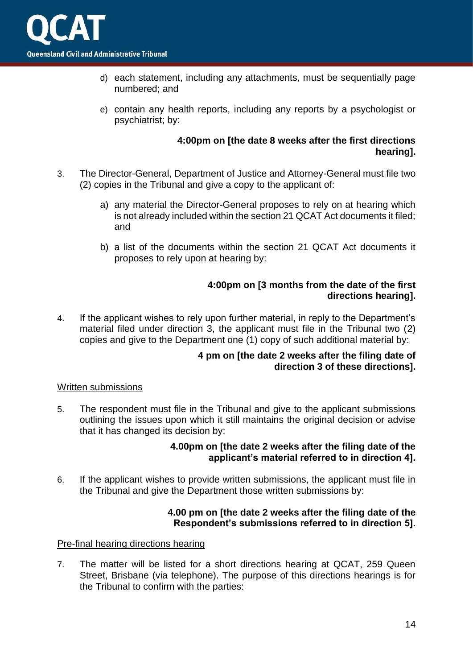

- d) each statement, including any attachments, must be sequentially page numbered; and
- e) contain any health reports, including any reports by a psychologist or psychiatrist; by:

#### **4:00pm on [the date 8 weeks after the first directions hearing].**

- 3. The Director-General, Department of Justice and Attorney-General must file two (2) copies in the Tribunal and give a copy to the applicant of:
	- a) any material the Director-General proposes to rely on at hearing which is not already included within the section 21 QCAT Act documents it filed; and
	- b) a list of the documents within the section 21 QCAT Act documents it proposes to rely upon at hearing by:

#### **4:00pm on [3 months from the date of the first directions hearing].**

4. If the applicant wishes to rely upon further material, in reply to the Department's material filed under direction 3, the applicant must file in the Tribunal two (2) copies and give to the Department one (1) copy of such additional material by:

#### **4 pm on [the date 2 weeks after the filing date of direction 3 of these directions].**

#### Written submissions

5. The respondent must file in the Tribunal and give to the applicant submissions outlining the issues upon which it still maintains the original decision or advise that it has changed its decision by:

## **4.00pm on [the date 2 weeks after the filing date of the applicant's material referred to in direction 4].**

6. If the applicant wishes to provide written submissions, the applicant must file in the Tribunal and give the Department those written submissions by:

#### **4.00 pm on [the date 2 weeks after the filing date of the Respondent's submissions referred to in direction 5].**

### Pre-final hearing directions hearing

7. The matter will be listed for a short directions hearing at QCAT, 259 Queen Street, Brisbane (via telephone). The purpose of this directions hearings is for the Tribunal to confirm with the parties: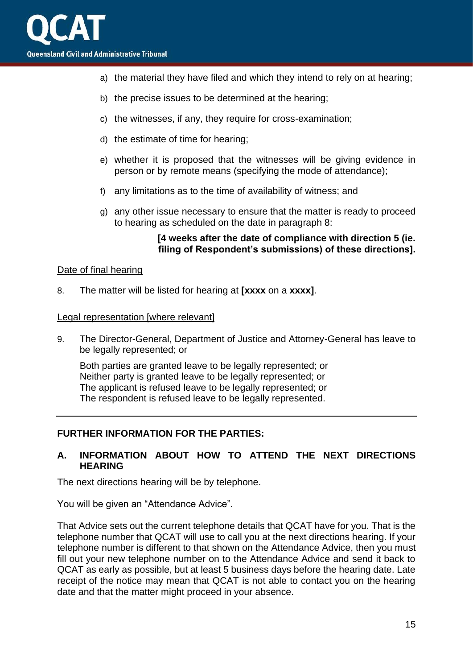- a) the material they have filed and which they intend to rely on at hearing;
- b) the precise issues to be determined at the hearing;
- c) the witnesses, if any, they require for cross-examination;
- d) the estimate of time for hearing;
- e) whether it is proposed that the witnesses will be giving evidence in person or by remote means (specifying the mode of attendance);
- f) any limitations as to the time of availability of witness; and
- g) any other issue necessary to ensure that the matter is ready to proceed to hearing as scheduled on the date in paragraph 8:

#### **[4 weeks after the date of compliance with direction 5 (ie. filing of Respondent's submissions) of these directions].**

#### Date of final hearing

8. The matter will be listed for hearing at **[xxxx** on a **xxxx]**.

#### Legal representation [where relevant]

9. The Director-General, Department of Justice and Attorney-General has leave to be legally represented; or

Both parties are granted leave to be legally represented; or Neither party is granted leave to be legally represented; or The applicant is refused leave to be legally represented; or The respondent is refused leave to be legally represented.

#### **FURTHER INFORMATION FOR THE PARTIES:**

#### **A. INFORMATION ABOUT HOW TO ATTEND THE NEXT DIRECTIONS HEARING**

The next directions hearing will be by telephone.

You will be given an "Attendance Advice".

That Advice sets out the current telephone details that QCAT have for you. That is the telephone number that QCAT will use to call you at the next directions hearing. If your telephone number is different to that shown on the Attendance Advice, then you must fill out your new telephone number on to the Attendance Advice and send it back to QCAT as early as possible, but at least 5 business days before the hearing date. Late receipt of the notice may mean that QCAT is not able to contact you on the hearing date and that the matter might proceed in your absence.